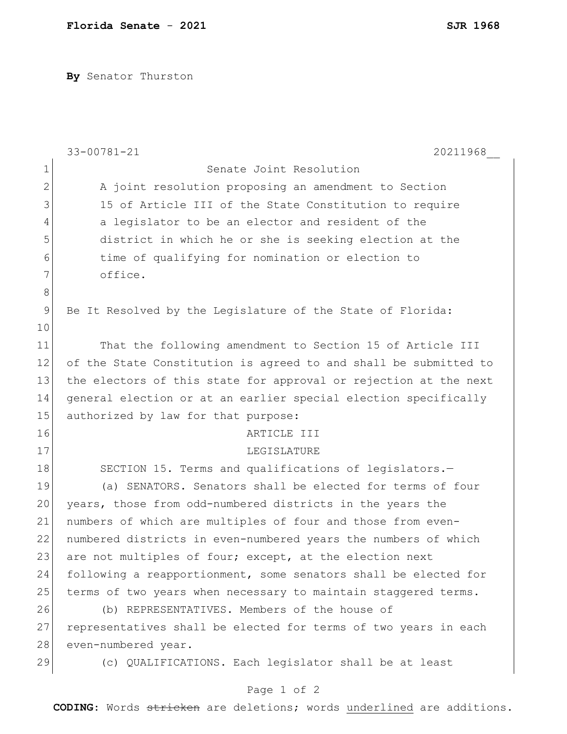**By** Senator Thurston

|              | $33 - 00781 - 21$<br>20211968                                    |
|--------------|------------------------------------------------------------------|
| $\mathbf 1$  | Senate Joint Resolution                                          |
| $\mathbf{2}$ | A joint resolution proposing an amendment to Section             |
| 3            | 15 of Article III of the State Constitution to require           |
| 4            | a legislator to be an elector and resident of the                |
| 5            | district in which he or she is seeking election at the           |
| 6            | time of qualifying for nomination or election to                 |
| 7            | office.                                                          |
| $\,8\,$      |                                                                  |
| $\mathsf 9$  | Be It Resolved by the Legislature of the State of Florida:       |
| 10           |                                                                  |
| 11           | That the following amendment to Section 15 of Article III        |
| 12           | of the State Constitution is agreed to and shall be submitted to |
| 13           | the electors of this state for approval or rejection at the next |
| 14           | general election or at an earlier special election specifically  |
| 15           | authorized by law for that purpose:                              |
| 16           | ARTICLE III                                                      |
| 17           | LEGISLATURE                                                      |
| 18           | SECTION 15. Terms and qualifications of legislators.-            |
| 19           | (a) SENATORS. Senators shall be elected for terms of four        |
| 20           | years, those from odd-numbered districts in the years the        |
| 21           | numbers of which are multiples of four and those from even-      |
| 22           | numbered districts in even-numbered years the numbers of which   |
| 23           | are not multiples of four; except, at the election next          |
| 24           | following a reapportionment, some senators shall be elected for  |
| 25           | terms of two years when necessary to maintain staggered terms.   |
| 26           | (b) REPRESENTATIVES. Members of the house of                     |
| 27           | representatives shall be elected for terms of two years in each  |
| 28           | even-numbered year.                                              |
| 29           | (c) QUALIFICATIONS. Each legislator shall be at least            |
|              | Page 1 of 2                                                      |

**CODING**: Words stricken are deletions; words underlined are additions.